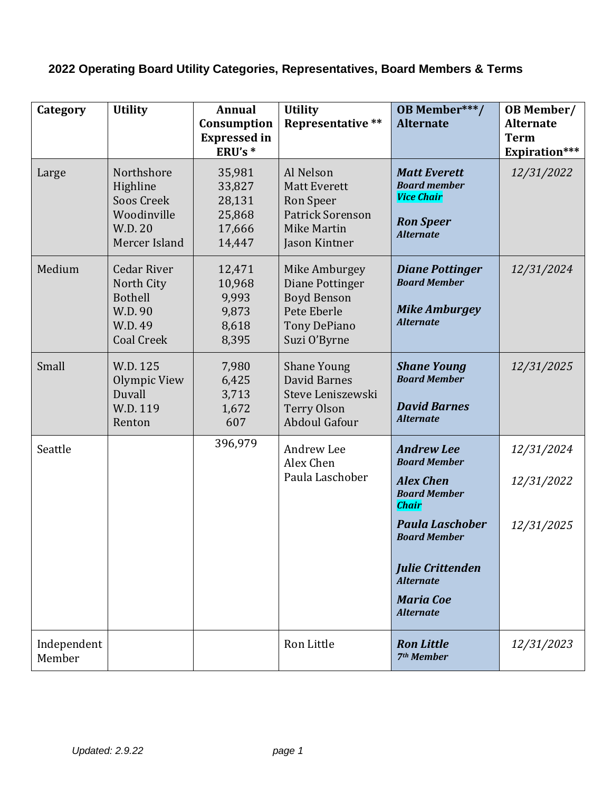## **2022 Operating Board Utility Categories, Representatives, Board Members & Terms**

| Category              | <b>Utility</b>                                                                                | Annual<br>Consumption<br><b>Expressed</b> in<br>ERU's *  | <b>Utility</b><br><b>Representative **</b>                                                                   | <b>OB Member***/</b><br><b>Alternate</b>                                                                                                                                                                                                    | <b>OB</b> Member/<br><b>Alternate</b><br><b>Term</b><br>Expiration*** |
|-----------------------|-----------------------------------------------------------------------------------------------|----------------------------------------------------------|--------------------------------------------------------------------------------------------------------------|---------------------------------------------------------------------------------------------------------------------------------------------------------------------------------------------------------------------------------------------|-----------------------------------------------------------------------|
| Large                 | Northshore<br>Highline<br>Soos Creek<br>Woodinville<br>W.D. 20<br>Mercer Island               | 35,981<br>33,827<br>28,131<br>25,868<br>17,666<br>14,447 | Al Nelson<br><b>Matt Everett</b><br>Ron Speer<br><b>Patrick Sorenson</b><br>Mike Martin<br>Jason Kintner     | <b>Matt Everett</b><br><b>Board member</b><br><b>Vice Chair</b><br><b>Ron Speer</b><br><b>Alternate</b>                                                                                                                                     | 12/31/2022                                                            |
| Medium                | <b>Cedar River</b><br>North City<br><b>Bothell</b><br>W.D. 90<br>W.D. 49<br><b>Coal Creek</b> | 12,471<br>10,968<br>9,993<br>9,873<br>8,618<br>8,395     | Mike Amburgey<br>Diane Pottinger<br><b>Boyd Benson</b><br>Pete Eberle<br><b>Tony DePiano</b><br>Suzi O'Byrne | <b>Diane Pottinger</b><br><b>Board Member</b><br><b>Mike Amburgey</b><br><b>Alternate</b>                                                                                                                                                   | 12/31/2024                                                            |
| Small                 | W.D. 125<br>Olympic View<br>Duvall<br>W.D. 119<br>Renton                                      | 7,980<br>6,425<br>3,713<br>1,672<br>607                  | <b>Shane Young</b><br>David Barnes<br>Steve Leniszewski<br><b>Terry Olson</b><br><b>Abdoul Gafour</b>        | <b>Shane Young</b><br><b>Board Member</b><br><b>David Barnes</b><br><b>Alternate</b>                                                                                                                                                        | 12/31/2025                                                            |
| Seattle               |                                                                                               | 396,979                                                  | Andrew Lee<br>Alex Chen<br>Paula Laschober                                                                   | <b>Andrew Lee</b><br><b>Board Member</b><br><b>Alex Chen</b><br><b>Board Member</b><br><b>Chair</b><br><b>Paula Laschober</b><br><b>Board Member</b><br><b>Julie Crittenden</b><br><b>Alternate</b><br><b>Maria Coe</b><br><b>Alternate</b> | 12/31/2024<br>12/31/2022<br>12/31/2025                                |
| Independent<br>Member |                                                                                               |                                                          | Ron Little                                                                                                   | <b>Ron Little</b><br>7 <sup>th</sup> Member                                                                                                                                                                                                 | 12/31/2023                                                            |